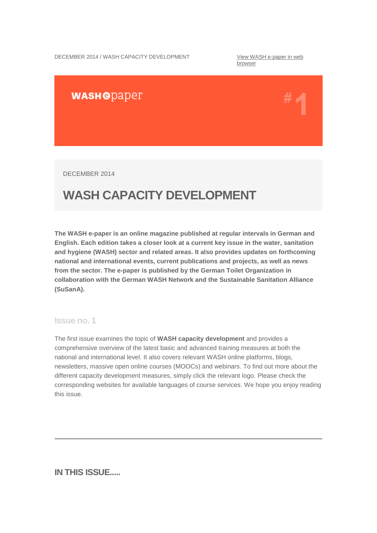DECEMBER 2014 / WASH CAPACITY DEVELOPMENT View WASH e-paper in web

browser

# **WASHODaper**

DECEMBER 2014

# **WASH CAPACITY DEVELOPMENT**

**The WASH e-paper is an online magazine published at regular intervals in German and English. Each edition takes a closer look at a current key issue in the water, sanitation and hygiene (WASH) sector and related areas. It also provides updates on forthcoming national and international events, current publications and projects, as well as news from the sector. The e-paper is published by the German Toilet Organization in collaboration with the German WASH Network and the Sustainable Sanitation Alliance (SuSanA).**

## **Issue no. 1**

The first issue examines the topic of **WASH capacity development** and provides a comprehensive overview of the latest basic and advanced training measures at both the national and international level. It also covers relevant WASH online platforms, blogs, newsletters, massive open online courses (MOOCs) and webinars. To find out more about the different capacity development measures, simply click the relevant logo. Please check the corresponding websites for available languages of course services. We hope you enjoy reading this issue.

**IN THIS ISSUE.....**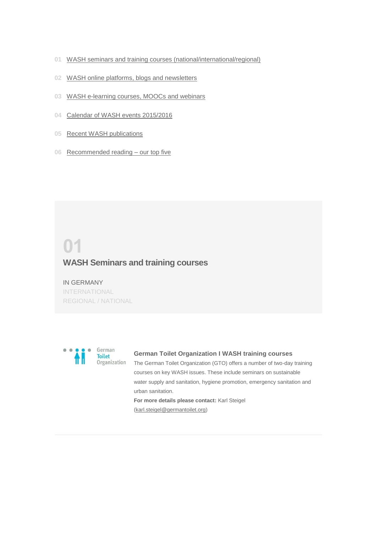- **01** WASH seminars and training courses (national/international/regional)
- **02** WASH online platforms, blogs and newsletters
- **03** WASH e-learning courses, MOOCs and webinars
- **04** Calendar of WASH events 2015/2016
- **05** Recent WASH publications
- **06** Recommended reading our top five

# **01 WASH Seminars and training courses**

IN GERMANY INTERNATIONAL REGIONAL / NATIONAL



#### **German Toilet Organization I WASH training courses**

The German Toilet Organization (GTO) offers a number of two-day training courses on key WASH issues. These include seminars on sustainable water supply and sanitation, hygiene promotion, emergency sanitation and urban sanitation.

**For more details please contact:** Karl Steigel (karl.steigel@germantoilet.org)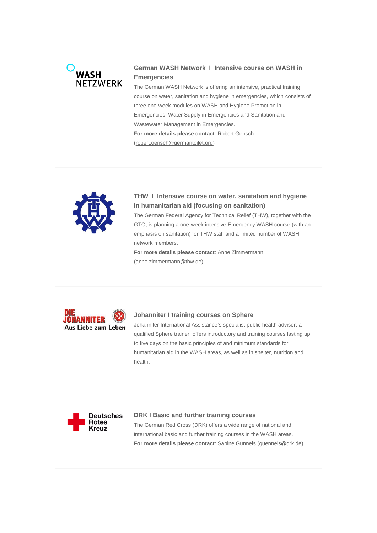# **WASH NFT7WFRK**

# **German WASH Network I Intensive course on WASH in Emergencies**

The German WASH Network is offering an intensive, practical training course on water, sanitation and hygiene in emergencies, which consists of three one-week modules on WASH and Hygiene Promotion in Emergencies, Water Supply in Emergencies and Sanitation and Wastewater Management in Emergencies. **For more details please contact**: Robert Gensch (robert.gensch@germantoilet.org)



# **THW I Intensive course on water, sanitation and hygiene in humanitarian aid (focusing on sanitation)**

The German Federal Agency for Technical Relief (THW), together with the GTO, is planning a one-week intensive Emergency WASH course (with an emphasis on sanitation) for THW staff and a limited number of WASH network members.

**For more details please contact**: Anne Zimmermann (anne.zimmermann@thw.de)



#### **Johanniter I training courses on Sphere**

Johanniter International Assistance's specialist public health advisor, a qualified Sphere trainer, offers introductory and training courses lasting up to five days on the basic principles of and minimum standards for humanitarian aid in the WASH areas, as well as in shelter, nutrition and health.



#### **DRK I Basic and further training courses**

The German Red Cross (DRK) offers a wide range of national and international basic and further training courses in the WASH areas. **For more details please contact**: Sabine Günnels (guennels@drk.de)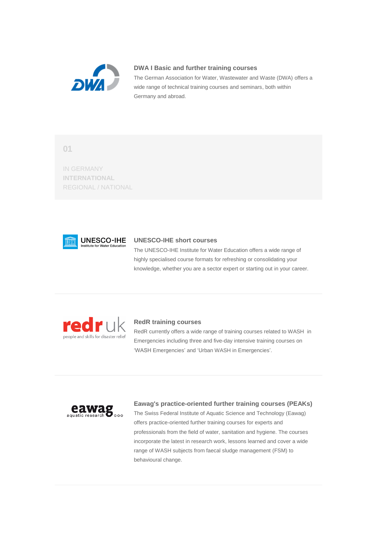

#### **DWA I Basic and further training courses**

The German Association for Water, Wastewater and Waste (DWA) offers a wide range of technical training courses and seminars, both within Germany and abroad.

**01**

IN GERMANY **INTERNATIONAL** REGIONAL / NATIONAL



## **UNESCO-IHE short courses**

The UNESCO-IHE Institute for Water Education offers a wide range of highly specialised course formats for refreshing or consolidating your knowledge, whether you are a sector expert or starting out in your career.



#### **RedR training courses**

RedR currently offers a wide range of training courses related to WASH in Emergencies including three and five-day intensive training courses on 'WASH Emergencies' and 'Urban WASH in Emergencies'.



#### **Eawag's practice-oriented further training courses (PEAKs)**

The Swiss Federal Institute of Aquatic Science and Technology (Eawag) offers practice-oriented further training courses for experts and professionals from the field of water, sanitation and hygiene. The courses incorporate the latest in research work, lessons learned and cover a wide range of WASH subjects from faecal sludge management (FSM) to behavioural change.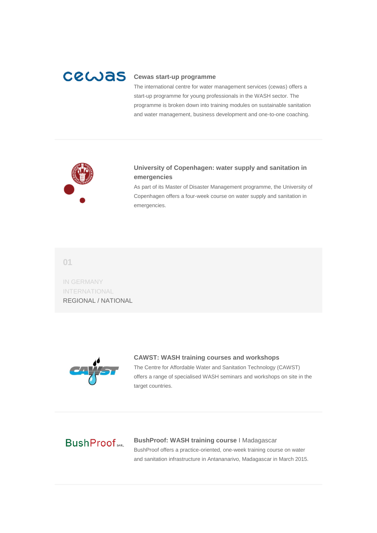# cewas

#### **Cewas start-up programme**

The international centre for water management services (cewas) offers a start-up programme for young professionals in the WASH sector. The programme is broken down into training modules on sustainable sanitation and water management, business development and one-to-one coaching.



# **University of Copenhagen: water supply and sanitation in emergencies**

As part of its Master of Disaster Management programme, the University of Copenhagen offers a four-week course on water supply and sanitation in emergencies.

**01**

IN GERMANY INTERNATIONAL REGIONAL / NATIONAL



#### **CAWST: WASH training courses and workshops**

The Centre for Affordable Water and Sanitation Technology (CAWST) offers a range of specialised WASH seminars and workshops on site in the target countries.

# **BushProof**

**BushProof: WASH training course** I Madagascar BushProof offers a practice-oriented, one-week training course on water and sanitation infrastructure in Antananarivo, Madagascar in March 2015.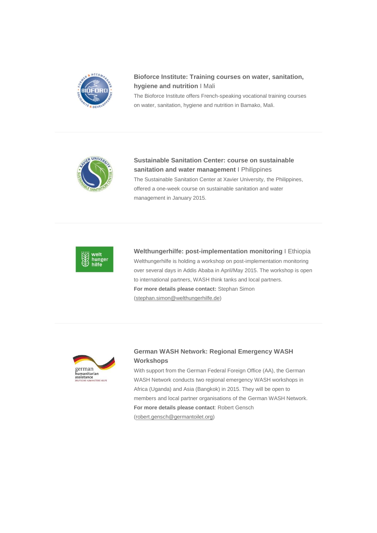

# **Bioforce Institute: Training courses on water, sanitation, hygiene and nutrition** I Mali

The Bioforce Institute offers French-speaking vocational training courses on water, sanitation, hygiene and nutrition in Bamako, Mali.



**Sustainable Sanitation Center: course on sustainable sanitation and water management** I Philippines The Sustainable Sanitation Center at Xavier University, the Philippines, offered a one-week course on sustainable sanitation and water management in January 2015.



**Welthungerhilfe: post-implementation monitoring** I Ethiopia Welthungerhilfe is holding a workshop on post-implementation monitoring over several days in Addis Ababa in April/May 2015. The workshop is open to international partners, WASH think tanks and local partners. **For more details please contact:** Stephan Simon (stephan.simon@welthungerhilfe.de)



# **German WASH Network: Regional Emergency WASH Workshops**

With support from the German Federal Foreign Office (AA), the German WASH Network conducts two regional emergency WASH workshops in Africa (Uganda) and Asia (Bangkok) in 2015. They will be open to members and local partner organisations of the German WASH Network. **For more details please contact**: Robert Gensch

(robert.gensch@germantoilet.org)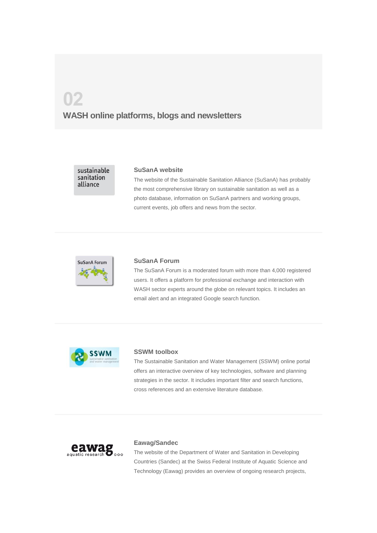# **02 WASH online platforms, blogs and newsletters**

sustainable sanitation alliance

#### **SuSanA website**

The website of the Sustainable Sanitation Alliance (SuSanA) has probably the most comprehensive library on sustainable sanitation as well as a photo database, information on SuSanA partners and working groups, current events, job offers and news from the sector.



#### **SuSanA Forum**

The SuSanA Forum is a moderated forum with more than 4,000 registered users. It offers a platform for professional exchange and interaction with WASH sector experts around the globe on relevant topics. It includes an email alert and an integrated Google search function.



#### **SSWM toolbox**

The Sustainable Sanitation and Water Management (SSWM) online portal offers an interactive overview of key technologies, software and planning strategies in the sector. It includes important filter and search functions, cross references and an extensive literature database.



#### **Eawag/Sandec**

The website of the Department of Water and Sanitation in Developing Countries (Sandec) at the Swiss Federal Institute of Aquatic Science and Technology (Eawag) provides an overview of ongoing research projects,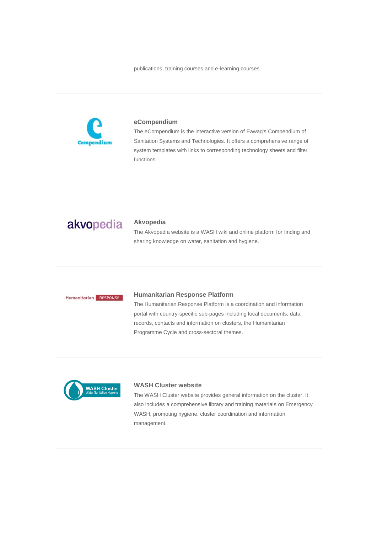publications, training courses and e-learning courses.



#### **eCompendium**

The eCompendium is the interactive version of Eawag's Compendium of Sanitation Systems and Technologies. It offers a comprehensive range of system templates with links to corresponding technology sheets and filter functions.

# akvopedia

#### **Akvopedia**

The Akvopedia website is a WASH wiki and online platform for finding and sharing knowledge on water, sanitation and hygiene.

## Humanitarian RESPONSE

#### **Humanitarian Response Platform**

The Humanitarian Response Platform is a coordination and information portal with country-specific sub-pages including local documents, data records, contacts and information on clusters, the Humanitarian Programme Cycle and cross-sectoral themes.



#### **WASH Cluster website**

The WASH Cluster website provides general information on the cluster. It also includes a comprehensive library and training materials on Emergency WASH, promoting hygiene, cluster coordination and information management.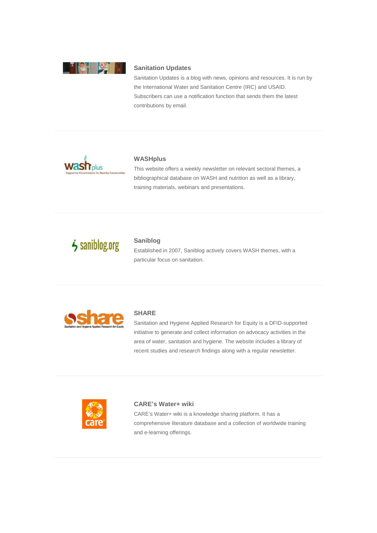

#### **Sanitation Updates**

Sanitation Updates is a blog with news, opinions and resources. It is run by the International Water and Sanitation Centre (IRC) and USAID. Subscribers can use a notification function that sends them the latest contributions by email.



#### **WASHplus**

This website offers a weekly newsletter on relevant sectoral themes, a bibliographical database on WASH and nutrition as well as a library, training materials, webinars and presentations.

# $\dot{\phantom{1}}$  saniblog.org

## **Saniblog**

Established in 2007, Saniblog actively covers WASH themes, with a particular focus on sanitation.



#### **SHARE**

Sanitation and Hygiene Applied Research for Equity is a DFID-supported initiative to generate and collect information on advocacy activities in the area of water, sanitation and hygiene. The website includes a library of recent studies and research findings along with a regular newsletter.



#### **CARE's Water+ wiki**

CARE's Water+ wiki is a knowledge sharing platform. It has a comprehensive literature database and a collection of worldwide training and e-learning offerings.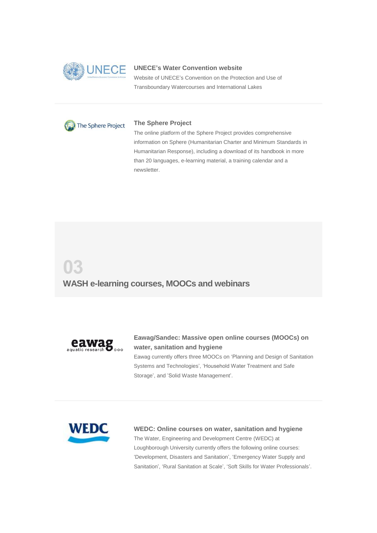

#### **UNECE's Water Convention website**

Website of UNECE's Convention on the Protection and Use of Transboundary Watercourses and International Lakes



#### **The Sphere Project**

The online platform of the Sphere Project provides comprehensive information on Sphere (Humanitarian Charter and Minimum Standards in Humanitarian Response), including a download of its handbook in more than 20 languages, e-learning material, a training calendar and a newsletter.

# **03 WASH e-learning courses, MOOCs and webinars**



## **Eawag/Sandec: Massive open online courses (MOOCs) on water, sanitation and hygiene**

Eawag currently offers three MOOCs on 'Planning and Design of Sanitation Systems and Technologies', 'Household Water Treatment and Safe Storage', and 'Solid Waste Management'.



#### **WEDC: Online courses on water, sanitation and hygiene**

The Water, Engineering and Development Centre (WEDC) at Loughborough University currently offers the following online courses: 'Development, Disasters and Sanitation', 'Emergency Water Supply and Sanitation', 'Rural Sanitation at Scale', 'Soft Skills for Water Professionals'.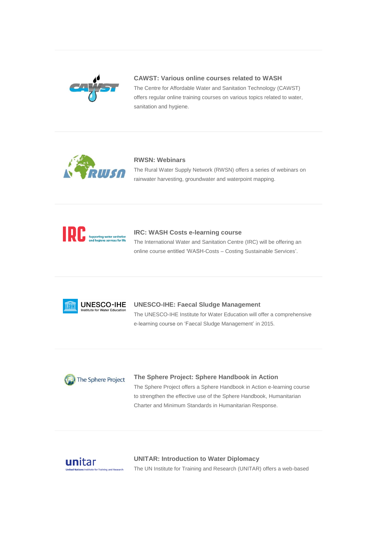

#### **CAWST: Various online courses related to WASH**

The Centre for Affordable Water and Sanitation Technology (CAWST) offers regular online training courses on various topics related to water, sanitation and hygiene.



#### **RWSN: Webinars**

The Rural Water Supply Network (RWSN) offers a series of webinars on rainwater harvesting, groundwater and waterpoint mapping.



#### **IRC: WASH Costs e-learning course**

The International Water and Sanitation Centre (IRC) will be offering an online course entitled 'WASH-Costs – Costing Sustainable Services'.



#### **UNESCO-IHE: Faecal Sludge Management**

The UNESCO-IHE Institute for Water Education will offer a comprehensive e-learning course on 'Faecal Sludge Management' in 2015.



# **The Sphere Project: Sphere Handbook in Action** The Sphere Project offers a Sphere Handbook in Action e-learning course to strengthen the effective use of the Sphere Handbook, Humanitarian Charter and Minimum Standards in Humanitarian Response.



**UNITAR: Introduction to Water Diplomacy** The UN Institute for Training and Research (UNITAR) offers a web-based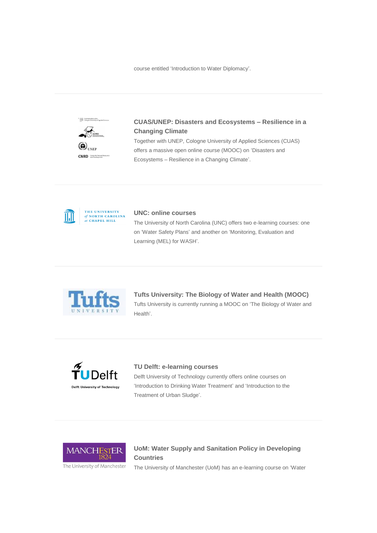course entitled 'Introduction to Water Diplomacy'.



# **CUAS/UNEP: Disasters and Ecosystems – Resilience in a Changing Climate**

Together with UNEP, Cologne University of Applied Sciences (CUAS) offers a massive open online course (MOOC) on 'Disasters and Ecosystems – Resilience in a Changing Climate'.



THE UNIVERSITY of NORTH CAROLINA<br>at CHAPEL HILL

#### **UNC: online courses**

The University of North Carolina (UNC) offers two e-learning courses: one on 'Water Safety Plans' and another on 'Monitoring, Evaluation and Learning (MEL) for WASH'.



# **Tufts University: The Biology of Water and Health (MOOC)** Tufts University is currently running a MOOC on 'The Biology of Water and Health'.



#### **TU Delft: e-learning courses**

Delft University of Technology currently offers online courses on 'Introduction to Drinking Water Treatment' and 'Introduction to the Treatment of Urban Sludge'.



# **UoM: Water Supply and Sanitation Policy in Developing Countries**

The University of Manchester (UoM) has an e-learning course on 'Water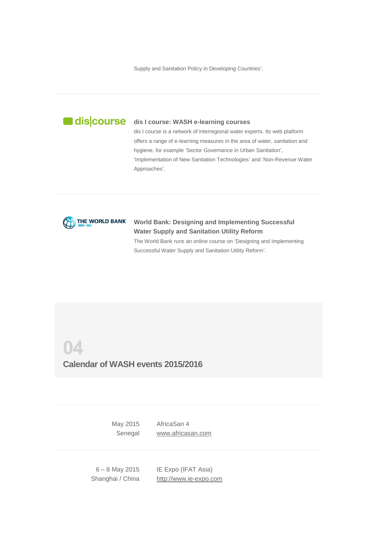Supply and Sanitation Policy in Developing Countries'.



#### **dis I course: WASH e-learning courses**

dis I course is a network of interregional water experts. Its web platform offers a range of e-learning measures in the area of water, sanitation and hygiene, for example 'Sector Governance in Urban Sanitation', 'Implementation of New Sanitation Technologies' and 'Non-Revenue Water Approaches'.



## **World Bank: Designing and Implementing Successful Water Supply and Sanitation Utility Reform** The World Bank runs an online course on 'Designing and Implementing

Successful Water Supply and Sanitation Utility Reform'.

**04**

# **Calendar of WASH events 2015/2016**

May 2015 **Senegal** AfricaSan 4 www.africasan.com

6 – 8 May 2015 Shanghai / China

IE Expo (IFAT Asia) http://www.ie-expo.com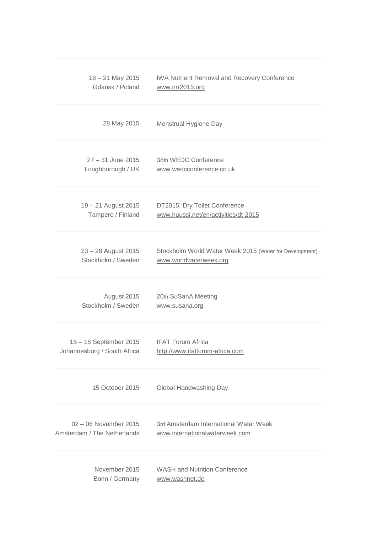| 18 - 21 May 2015            | <b>IWA Nutrient Removal and Recovery Conference</b>     |
|-----------------------------|---------------------------------------------------------|
| Gdansk / Poland             | www.nrr2015.org                                         |
| 28 May 2015                 | Menstrual Hygiene Day                                   |
| 27 - 31 June 2015           | 38th WEDC Conference                                    |
| Loughborough / UK           | www.wedcconference.co.uk                                |
| 19 - 21 August 2015         | DT2015: Dry Toilet Conference                           |
| Tampere / Finland           | www.huussi.net/en/activities/dt-2015                    |
| 23 - 28 August 2015         | Stockholm World Water Week 2015 (Water for Development) |
| Stockholm / Sweden          | www.worldwaterweek.org                                  |
| August 2015                 | 20th SuSanA Meeting                                     |
| Stockholm / Sweden          | www.susana.org                                          |
| 15 - 18 September 2015      | <b>IFAT Forum Africa</b>                                |
| Johannesburg / South Africa | http://www.ifatforum-africa.com                         |
| 15 October 2015             | Global Handwashing Day                                  |
| 02 - 06 November 2015       | 3rd Amsterdam International Water Week                  |
| Amsterdam / The Netherlands | www.internationalwaterweek.com                          |
| November 2015               | <b>WASH and Nutrition Conference</b>                    |
| Bonn / Germany              | www.washnet.de                                          |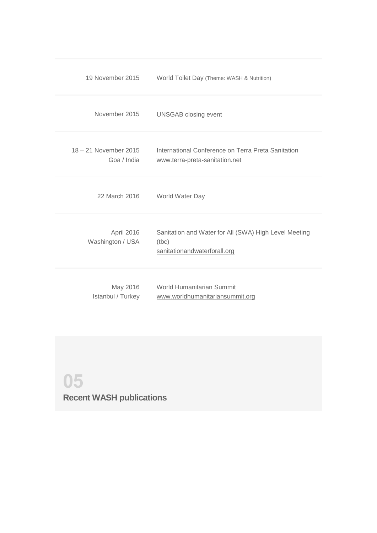| 19 November 2015                     | World Toilet Day (Theme: WASH & Nutrition)                                                     |
|--------------------------------------|------------------------------------------------------------------------------------------------|
| November 2015                        | <b>UNSGAB</b> closing event                                                                    |
| 18 - 21 November 2015<br>Goa / India | International Conference on Terra Preta Sanitation<br>www.terra-preta-sanitation.net           |
| 22 March 2016                        | World Water Day                                                                                |
| April 2016<br>Washington / USA       | Sanitation and Water for All (SWA) High Level Meeting<br>(tbc)<br>sanitationandwaterforall.org |
| May 2016<br>Istanbul / Turkey        | World Humanitarian Summit<br>www.worldhumanitariansummit.org                                   |

# **05**

**Recent WASH publications**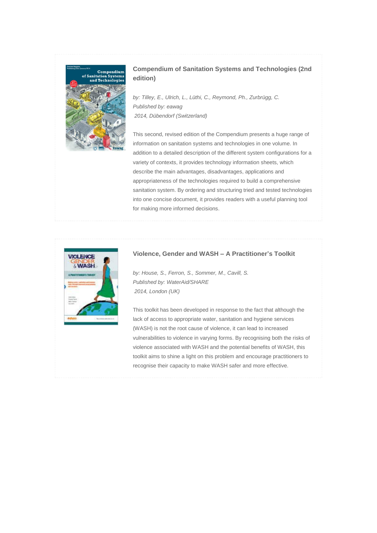

## **Compendium of Sanitation Systems and Technologies (2nd edition)**

*by: Tilley, E., Ulrich, L., Lüthi, C., Reymond, Ph., Zurbrügg, C. Published by: eawag 2014, Dübendorf (Switzerland)*

This second, revised edition of the Compendium presents a huge range of information on sanitation systems and technologies in one volume. In addition to a detailed description of the different system configurations for a variety of contexts, it provides technology information sheets, which describe the main advantages, disadvantages, applications and appropriateness of the technologies required to build a comprehensive sanitation system. By ordering and structuring tried and tested technologies into one concise document, it provides readers with a useful planning tool for making more informed decisions.



#### **Violence, Gender and WASH – A Practitioner's Toolkit**

*by: House, S., Ferron, S., Sommer, M., Cavill, S. Published by: WaterAid/SHARE 2014, London (UK)*

This toolkit has been developed in response to the fact that although the lack of access to appropriate water, sanitation and hygiene services (WASH) is not the root cause of violence, it can lead to increased vulnerabilities to violence in varying forms. By recognising both the risks of violence associated with WASH and the potential benefits of WASH, this toolkit aims to shine a light on this problem and encourage practitioners to recognise their capacity to make WASH safer and more effective.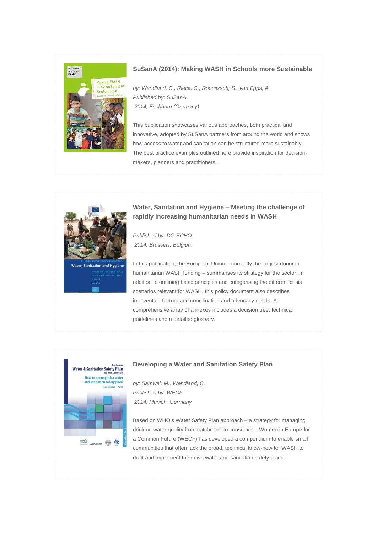

#### **SuSanA (2014): Making WASH in Schools more Sustainable**

*by: Wendland, C., Rieck, C., Roenitzsch, S., van Epps, A. Published by: SuSanA 2014, Eschborn (Germany)*

This publication showcases various approaches, both practical and innovative, adopted by SuSanA partners from around the world and shows how access to water and sanitation can be structured more sustainably. The best practice examples outlined here provide inspiration for decisionmakers, planners and practitioners.



**Water, Sanitation and Hygiene – Meeting the challenge of rapidly increasing humanitarian needs in WASH**

*Published by: DG ECHO 2014, Brussels, Belgium*

In this publication, the European Union – currently the largest donor in humanitarian WASH funding – summarises its strategy for the sector. In addition to outlining basic principles and categorising the different crisis scenarios relevant for WASH, this policy document also describes intervention factors and coordination and advocacy needs. A comprehensive array of annexes includes a decision tree, technical guidelines and a detailed glossary.



#### **Developing a Water and Sanitation Safety Plan**

*by: Samwel, M., Wendland, C. Published by: WECF 2014, Munich, Germany*

Based on WHO's Water Safety Plan approach – a strategy for managing drinking water quality from catchment to consumer – Women in Europe for a Common Future (WECF) has developed a compendium to enable small communities that often lack the broad, technical know-how for WASH to draft and implement their own water and sanitation safety plans.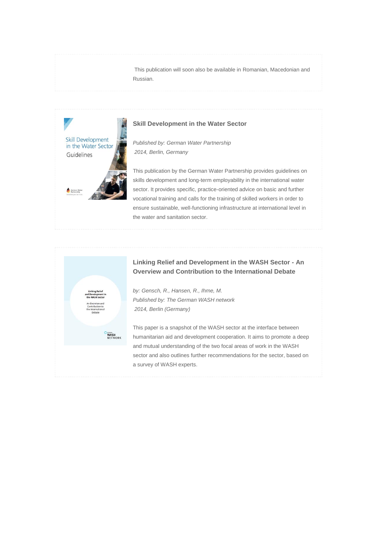This publication will soon also be available in Romanian, Macedonian and Russian.



#### **Skill Development in the Water Sector**

*Published by: German Water Partnership 2014, Berlin, Germany*

This publication by the German Water Partnership provides guidelines on skills development and long-term employability in the international water sector. It provides specific, practice-oriented advice on basic and further vocational training and calls for the training of skilled workers in order to ensure sustainable, well-functioning infrastructure at international level in the water and sanitation sector.



## **Linking Relief and Development in the WASH Sector - An Overview and Contribution to the International Debate**

*by: Gensch, R., Hansen, R., Ihme, M. Published by: The German WASH network 2014, Berlin (Germany)*

This paper is a snapshot of the WASH sector at the interface between humanitarian aid and development cooperation. It aims to promote a deep and mutual understanding of the two focal areas of work in the WASH sector and also outlines further recommendations for the sector, based on a survey of WASH experts.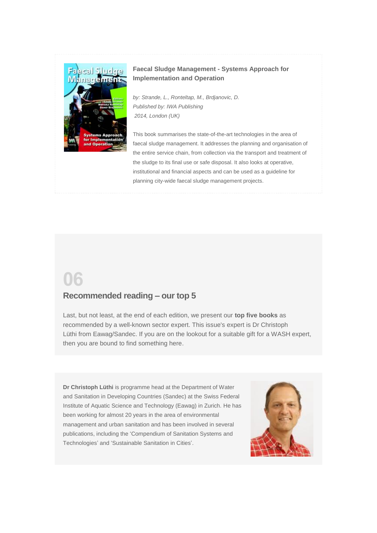

# **Faecal Sludge Management - Systems Approach for Implementation and Operation**

*by: Strande, L., Ronteltap, M., Brdjanovic, D. Published by: IWA Publishing 2014, London (UK)*

This book summarises the state-of-the-art technologies in the area of faecal sludge management. It addresses the planning and organisation of the entire service chain, from collection via the transport and treatment of the sludge to its final use or safe disposal. It also looks at operative, institutional and financial aspects and can be used as a guideline for planning city-wide faecal sludge management projects.

# **06**

# **Recommended reading – our top 5**

Last, but not least, at the end of each edition, we present our **top five books** as recommended by a well-known sector expert. This issue's expert is Dr Christoph Lüthi from Eawag/Sandec. If you are on the lookout for a suitable gift for a WASH expert, then you are bound to find something here.

**Dr Christoph Lüthi** is programme head at the Department of Water and Sanitation in Developing Countries (Sandec) at the Swiss Federal Institute of Aquatic Science and Technology (Eawag) in Zurich. He has been working for almost 20 years in the area of environmental management and urban sanitation and has been involved in several publications, including the 'Compendium of Sanitation Systems and Technologies' and 'Sustainable Sanitation in Cities'.

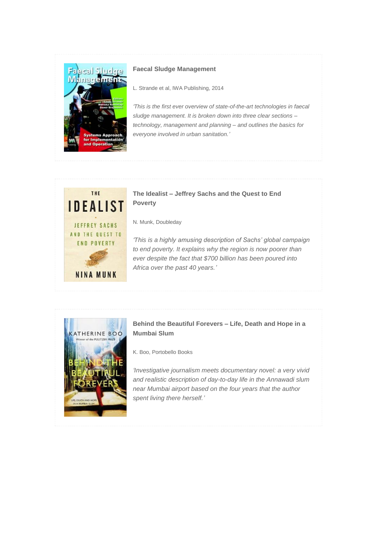

## **Faecal Sludge Management**

L. Strande et al, IWA Publishing, 2014

*'This is the first ever overview of state-of-the-art technologies in faecal sludge management. It is broken down into three clear sections – technology, management and planning – and outlines the basics for everyone involved in urban sanitation.'*



# **The Idealist – Jeffrey Sachs and the Quest to End Poverty**

N. Munk, Doubleday

*'This is a highly amusing description of Sachs' global campaign to end poverty. It explains why the region is now poorer than ever despite the fact that \$700 billion has been poured into Africa over the past 40 years.'*



# **Behind the Beautiful Forevers – Life, Death and Hope in a Mumbai Slum**

K. Boo, Portobello Books

*'Investigative journalism meets documentary novel: a very vivid and realistic description of day-to-day life in the Annawadi slum near Mumbai airport based on the four years that the author spent living there herself.'*